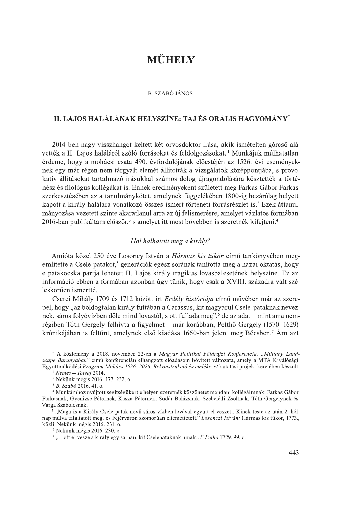# MŰHELY

#### **B. SZABÓ JÁNOS**

# II. LAJOS HALÁLÁNAK HELYSZÍNE: TÁJ ÉS ORÁLIS HAGYOMÁNY\*

2014-ben nagy visszhangot keltett két orvosdoktor írása, akik ismételten górcső alá vették a II. Lajos haláláról szóló forrásokat és feldolgozásokat.<sup>1</sup> Munkájuk múlhatatlan érdeme, hogy a mohácsi csata 490. évfordulójának előestéjén az 1526. évi eseményeknek egy már régen nem tárgyalt elemét állították a vizsgálatok középpontjába, s provokatív állításokat tartalmazó írásukkal számos dolog újragondolására késztették a történész és filológus kollégákat is. Ennek eredményeként született meg Farkas Gábor Farkas szerkesztésében az a tanulmánykötet, amelynek függelékében 1800-ig bezárólag helyett kapott a király halálára vonatkozó összes ismert történeti forrásrészlet is.<sup>2</sup> Ezek áttanulmányozása vezetett szinte akaratlanul arra az új felismerésre, amelyet vázlatos formában 2016-ban publikáltam először,<sup>3</sup> s amelyet itt most bővebben is szeretnék kifejteni.<sup>4</sup>

# Hol halhatott meg a király?

Amióta közel 250 éve Losoncy István a Hármas kis tükör című tankönyvében megemlítette a Csele-patakot.<sup>5</sup> generációk egész sorának tanította meg a hazai oktatás, hogy e patakocska partja lehetett II. Lajos király tragikus lovasbalesetének helyszíne. Ez az információ ebben a formában azonban úgy tűnik, hogy csak a XVIII. századra vált széleskörűen ismertté.

Cserei Mihály 1709 és 1712 között írt Erdély históriája című művében már az szerepel, hogy "az boldogtalan király futtában a Carassus, kit magyarul Csele-pataknak neveznek, sáros folyóvízben dőle mind lovastól, s ott fullada meg", " de az adat – mint arra nemrégiben Tóth Gergely felhívta a figyelmet – már korábban, Petthő Gergely (1570–1629) krónikájában is feltűnt, amelynek első kiadása 1660-ban jelent meg Bécsben.<sup>7</sup> Ám azt

\* A közlemény a 2018. november 22-én a Magyar Politikai Földrajzi Konferencia. "Military Landscape Baranyában" című konferencián elhangzott előadásom bővített változata, amely a MTA Kiválósági Együttműködési Program Mohács 1526-2026: Rekonstrukció és emlékezet kutatási projekt keretében készült.

<sup>4</sup> Munkámhoz nyújtott segítségükért e helyen szeretnék köszönetet mondani kollégáimnak: Farkas Gábor Farkasnak, Gyenizse Péternek, Kasza Péternek, Sudár Balázsnak, Szebelédi Zsoltnak, Tóth Gergelynek és Varga Szabolcsnak.

"Maga-is a Király Csele-patak nevű sáros vízben lovával együtt el-veszett. Kinek teste az után 2. hólnap múlva találtatott meg, és Fejérváron szomorúan eltemettetett." Losonczi István: Hármas kis tükör, 1773., közli: Nekünk mégis 2016. 231. o.

<sup>6</sup> Nekünk mégis 2016. 230. o.

7,...ott el vesze a király egy sárban, kit Cselepataknak hinak..." Pethő 1729. 99. o.

 $\frac{1}{2}$  Nemes - Tolvaj 2014.

<sup>&</sup>lt;sup>2</sup> Nekünk mégis 2016. 177-232. o.

<sup>&</sup>lt;sup>3</sup> B. Szabó 2016. 41. o.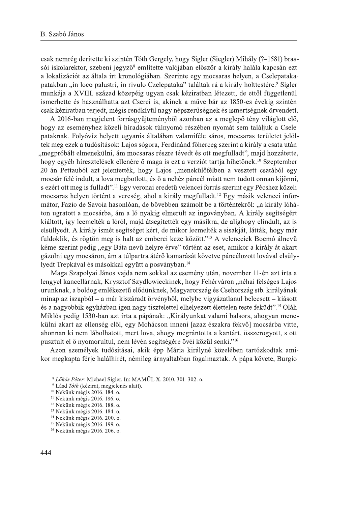csak nemrég derítette ki szintén Tóth Gergely, hogy Sigler (Siegler) Mihály (?–1581) brassói iskolarektor, szebeni jegyző<sup>8</sup> említette valójában először a király halála kapcsán ezt a lokalizációt az általa írt kronológiában. Szerinte egy mocsaras helyen, a Cselepatakapatakban "in loco palustri, in rivulo Czelepataka" találtak rá a király holttestére.<sup>9</sup> Sigler munkája a XVIII. század közepéig ugyan csak kéziratban létezett, de ettől függetlenül ismerhette és használhatta azt Cserei is, akinek a műve bár az 1850-es évekig szintén csak kéziratban terjedt, mégis rendkívül nagy népszerűségnek és ismertségnek örvendett.

A 2016-ban megjelent forrásgyűjteményből azonban az a meglepő tény világlott elő, hogy az eseményhez közeli híradások túlnyomó részében nyomát sem találjuk a Cselepataknak. Folyóvíz helyett ugyanis általában valamiféle sáros, mocsaras területet jelöltek meg ezek a tudósítások: Lajos sógora, Ferdinánd főherceg szerint a király a csata után "megpróbált elmenekülni, ám mocsaras részre tévedt és ott megfulladt", majd hozzátette, hogy egyéb híresztelések ellenére ő maga is ezt a verziót tartja hihetőnek.<sup>10</sup> Szeptember 20-án Pettauból azt jelentették, hogy Lajos "menekülőfélben a vesztett csatából egy mocsár felé indult, a lova megbotlott, és ő a nehéz páncél miatt nem tudott onnan kijönni. s ezért ott meg is fulladt".<sup>11</sup> Egy veronai eredetű velencei forrás szerint egy Pécshez közeli mocsaras helyen történt a vereség, ahol a király megfulladt.<sup>12</sup> Egy másik velencei informátor, Fazio de Savoia hasonlóan, de bővebben számolt be a történtekről: "a király lóháton ugratott a mocsárba, ám a ló nyakig elmerült az ingoványban. A király segítségért kiáltott, így leemelték a lóról, majd átsegítették egy másikra, de alighogy elindult, az is elsüllyedt. A király ismét segítséget kért, de mikor leemelték a sisakját, látták, hogy már fuldoklik, és rögtön meg is halt az emberei keze között."<sup>13</sup> A velenceiek Boemó álnevű kéme szerint pedig "egy Báta nevű helyre érve" történt az eset, amikor a király át akart gázolni egy mocsáron, ám a túlpartra átérő kamarását követve páncélozott lovával elsülylyedt Trepkával és másokkal együtt a posványban.<sup>14</sup>

Maga Szapolyai János vajda nem sokkal az esemény után, november 11-én azt írta a lengyel kancellárnak, Krysztof Szydlowieckinek, hogy Fehérváron "néhai felséges Lajos urunknak, a boldog emlékezetű elődünknek, Magyarország és Csehország stb. királyának minap az iszapból – a már kiszáradt örvényből, melybe vigyázatlanul beleesett – kiásott és a nagyobbik egyházban igen nagy tisztelettel elhelyezett élettelen teste feküdt".<sup>15</sup> Oláh Miklós pedig 1530-ban azt írta a pápának: "Királyunkat valami balsors, ahogyan menekülni akart az ellenség elől, egy Mohácson inneni [azaz északra fekvő] mocsárba vitte, ahonnan ki nem lábolhatott, mert lova, ahogy megrántotta a kantárt, összerogyott, s ott pusztult el ő nyomorultul, nem lévén segítségére övéi közül senki."<sup>16</sup>

Azon személyek tudósításai, akik épp Mária királyné közelében tartózkodtak amikor megkapta férje halálhírét, némileg árnyaltabban fogalmaztak. A pápa követe, Burgio

<sup>&</sup>lt;sup>8</sup> Lőkös Péter: Michael Sigler. In: MAMŰL X. 2010. 301-302. o.

<sup>&</sup>lt;sup>9</sup> Lásd Tóth (kézirat, megjelenés alatt).

<sup>&</sup>lt;sup>10</sup> Nekünk mégis 2016. 184. o.

<sup>&</sup>lt;sup>11</sup> Nekünk mégis 2016. 186. o.

<sup>&</sup>lt;sup>12</sup> Nekünk mégis 2016. 188. o.

<sup>&</sup>lt;sup>13</sup> Nekünk mégis 2016. 184. o.

<sup>&</sup>lt;sup>14</sup> Nekünk mégis 2016. 200. o.

<sup>&</sup>lt;sup>15</sup> Nekünk mégis 2016. 199. o.

<sup>&</sup>lt;sup>16</sup> Nekünk mégis 2016. 206. o.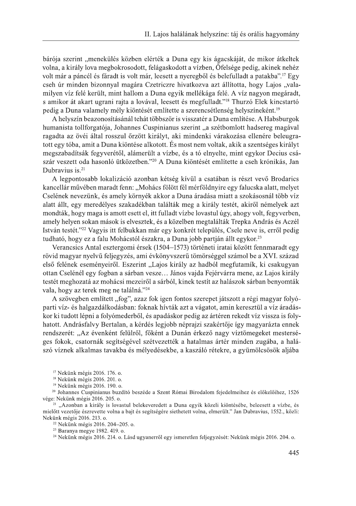bárója szerint "menekülés közben elérték a Duna egy kis ágacskáját, de mikor átkeltek volna, a király lova megbokrosodott, felágaskodott a vízben. Őfelsége pedig, akinek nehéz volt már a páncél és fáradt is volt már, leesett a nyeregből és belefulladt a patakba".<sup>17</sup> Egy cseh úr minden bizonnyal magára Czetriczre hivatkozya azt állította, hogy Lajos "valamilyen víz felé került, mint hallom a Duna egyik mellékága felé. A víz nagyon megáradt, s amikor át akart ugrani rajta a lovával, leesett és megfulladt."<sup>18</sup> Thurzó Elek kincstartó pedig a Duna valamely mély kiöntését említette a szerencsétlenség helyszíneként.<sup>19</sup>

A helyszín beazonosításánál tehát többször is visszatér a Duna említése. A Habsburgok humanista tollforgatója, Johannes Cuspinianus szerint "a szétbomlott hadsereg magával ragadta az övéi által rosszul őrzött királyt, aki mindenki várakozása ellenére beleugratott egy tóba, amit a Duna kjöntése alkotott. És most nem voltak, akik a szentséges királyt megszabadítsák fegyverétől, alámerült a vízbe, és a tó elnyelte, mint egykor Decius császár veszett oda hasonló ütközetben."<sup>20</sup> A Duna kiöntését említette a cseh krónikás, Jan Dubravius is.<sup>21</sup>

A legpontosabb lokalizáció azonban kétség kívül a csatában is részt vevő Brodarics kancellár művében maradt fenn: "Mohács fölött fél mérföldnyire egy falucska alatt, melyet Cselének nevezünk, és amely környék akkor a Duna áradása miatt a szokásosnál több víz alatt állt, egy meredélyes szakadékban találták meg a király testét, akiről némelyek azt mondták, hogy maga is amott esett el, itt fulladt vízbe lovastul úgy, ahogy volt, fegyverben, amely helyen sokan mások is elvesztek, és a közelben megtalálták Trepka András és Aczél István testét."<sup>22</sup> Vagyis itt felbukkan már egy konkrét település, Csele neve is, erről pedig tudható, hogy ez a falu Mohácstól északra, a Duna jobb partján állt egykor.<sup>23</sup>

Verancsics Antal esztergomi érsek (1504–1573) történeti iratai között fennmaradt egy rövid magyar nyelvű feljegyzés, ami évkönyvszerű tömörséggel számol be a XVI. század első felének eseményeiről. Eszerint "Lajos király az hadból megfutamík, ki csakugyan ottan Cselénél egy fogban a sárban vesze... János vajda Fejérvárra mene, az Lajos király testét meghozatá az mohácsi mezeiről a sárból, kinek testít az halászok sárban benyomták vala, hogy az terek meg ne találná."<sup>24</sup>

A szövegben említett "fog", azaz fok igen fontos szerepet játszott a régi magyar folyóparti víz- és halgazdálkodásban: foknak hívták azt a vágatot, amin keresztül a víz áradáskor ki tudott lépni a folyómederből, és apadáskor pedig az ártéren rekedt víz vissza is folyhatott. Andrásfalvy Bertalan, a kérdés legjobb néprajzi szakértője így magyarázta ennek rendszerét: "Az évenként felülről, főként a Dunán érkező nagy víztömegeket mesterséges fokok, csatornák segítségével szétvezették a hatalmas ártér minden zugába, a halászó víznek alkalmas tavakba és mélyedésekbe, a kaszáló rétekre, a gyümölcsösök aljába

<sup>17</sup> Nekünk mégis 2016, 176, o.

<sup>18</sup> Nekünk mégis 2016. 201. o.

<sup>19</sup> Nekünk mégis 2016. 190. o.

<sup>20</sup> Johannes Cuspinianus buzdító beszéde a Szent Római Birodalom fejedelmeihez és előkelőihez, 1526 vége: Nekünk mégis 2016. 205. o.

<sup>21</sup> "Azonban a király is lovastul belekeveredett a Duna egyik közeli kiöntésébe, beleesett a vízbe, és mielőtt vezetője észrevette volna a bajt és segítségére siethetett volna, elmerült." Jan Dubravius, 1552., közli: Nekünk mégis 2016. 213. o.

<sup>22</sup> Nekünk mégis 2016. 204-205. o.

<sup>23</sup> Baranya megye 1982. 419. o.

<sup>24</sup> Nekünk mégis 2016. 214. o. Lásd ugyanerről egy ismeretlen feljegyzését: Nekünk mégis 2016. 204. o.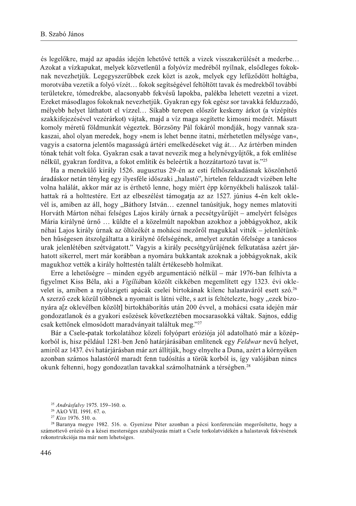és legelőkre, majd az apadás idején lehetővé tették a vizek visszakerülését a mederbe... Azokat a vízkapukat, melyek közvetlenül a folvóvíz medréből nyílnak, elsődleges fokoknak nevezhetjük. Legegyszerűbbek ezek közt is azok, melyek egy lefűződött holtágba, morotvába vezetik a folyó vízét... fokok segítségével feltöltött tavak és medrekből további területekre, tómedrekbe, alacsonyabb fekvésű lapokba, palékba lehetett vezetni a vizet. Ezeket másodlagos fokoknak nevezhetjük. Gyakran egy fok egész sor tavakká felduzzadó, mélyebb helyet láthatott el vízzel... Síkabb terepen először keskeny árkot (a vízépítés szakkifejezésével vezérárkot) vájtak, majd a víz maga segítette kimosni medrét. Másutt komoly méretű földmunkát végeztek. Börzsöny Pál fokáról mondják, hogy vannak szakaszai, ahol olyan meredek, hogy »nem is lehet benne itatni, mérhetetlen mélysége van«, vagyis a csatorna jelentős magasságú ártéri emelkedéseket vág át... Az ártérben minden tónak tehát volt foka. Gyakran csak a tavat nevezik meg a helynévgyűjtők, a fok említése nélkül, gyakran fordítva, a fokot említik és beleértik a hozzátartozó tavat is."25

Ha a menekülő király 1526. augusztus 29-én az esti felhőszakadásnak köszönhető áradáskor netán tényleg egy ilyesféle időszaki "halastó", hirtelen felduzzadt vizében lelte volna halálát, akkor már az is érthető lenne, hogy miért épp környékbeli halászok találhattak rá a holttestére. Ezt az elbeszélést támogatja az az 1527. június 4-én kelt oklevél is, amiben az áll, hogy "Báthory István... ezennel tanúsítjuk, hogy nemes mlatoviti Horváth Márton néhai felséges Lajos király úrnak a pecsétgyűrűjét – amelyért felséges Mária királyné úrnő ... küldte el a közelmúlt napokban azokhoz a jobbágyokhoz, akik néhai Lajos király úrnak az öltözékét a mohácsi mezőről magukkal vitték – jelenlétünkben hűségesen átszolgáltatta a királyné őfelségének, amelyet azután őfelsége a tanácsos urak jelenlétében szétvágatott." Vagyis a király pecsétgyűrűjének felkutatása azért járhatott sikerrel, mert már korábban a nyomára bukkantak azoknak a jobbágyoknak, akik magukhoz vették a király holttestén talált értékesebb holmikat.

Erre a lehetőségre – minden egyéb argumentáció nélkül – már 1976-ban felhívta a figyelmet Kiss Béla, aki a Vigíliában közölt cikkében megemlített egy 1323. évi oklevelet is, amiben a nyúlszigeti apácák cselei birtokának kilenc halastaváról esett szó.<sup>26</sup> A szerző ezek közül többnek a nyomait is látni vélte, s azt is feltételezte, hogy "ezek bizonyára a[z oklevélben közölt] birtokháborítás után 200 évvel, a mohácsi csata idején már gondozatlanok és a gyakori esőzések következtében mocsarasokká váltak. Sajnos, eddig csak kettőnek elmosódott maradványait találtuk meg."27

Bár a Csele-patak torkolatához közeli folyópart eróziója jól adatolható már a középkorból is, hisz például 1281-ben Jenő határjárásában említenek egy Feldwar nevű helyet, amiről az 1437. évi határjárásban már azt állítják, hogy elnyelte a Duna, azért a környéken azonban számos halastóról maradt fenn tudósítás a török korból is, így valójában nincs okunk feltenni, hogy gondozatlan tavakkal számolhatnánk a térségben.<sup>28</sup>

<sup>&</sup>lt;sup>25</sup> Andrásfalvy 1975. 159-160. o.

<sup>&</sup>lt;sup>26</sup> AkO VII. 1991. 67. o.

<sup>&</sup>lt;sup>27</sup> Kiss 1976. 510. o.

<sup>&</sup>lt;sup>28</sup> Baranya megye 1982. 516. o. Gyenizse Péter azonban a pécsi konferencián megerősítette, hogy a számottevő erózió és a kései mesterséges szabályozás miatt a Csele torkolatvidékén a halastavak fekvésének rekonstrukciója ma már nem lehetséges.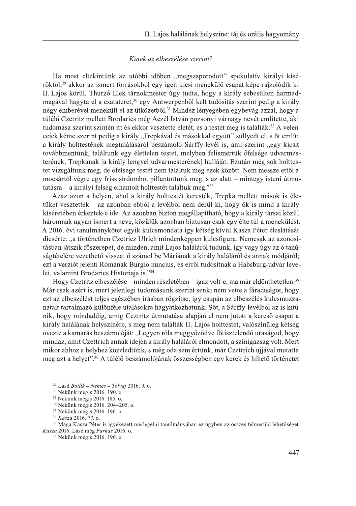#### Kinek az elbeszélése szerint?

Ha most eltekintünk az utóbbi időben "megszaporodott" spekulatív királyi kísérőktől.<sup>29</sup> akkor az ismert forrásokból egy igen kicsi menekülő csapat képe rajzolódik ki II. Lajos körül. Thurzó Elek tárnokmester úgy tudta, hogy a király sebesülten harmadmagával hagyta el a csatateret,<sup>30</sup> egy Antwerpenből kelt tudósítás szerint pedig a király négy emberével menekült el az ütközetből.<sup>31</sup> Mindez lényegében egybevág azzal, hogy a túlélő Czetritz mellett Brodarics még Aczél István pozsonyi várnagy nevét említette, aki tudomása szerint szintén itt és ekkor vesztette életét, és a testét meg is találták.<sup>32</sup> A velenceiek kéme szerint pedig a király "Trepkával és másokkal együtt" süllyedt el, s őt említi a király holttestének megtalálásáról beszámoló Sárffy-levél is, ami szerint "egy kicsit továbbmentünk, találtunk egy élettelen testet, melyben felismertük őfelsége udvarmesterének, Trepkának [a király lengyel udvarmesterének] hulláját. Ezután még sok holttestet vizsgáltunk meg, de őfelsége testét nem találtuk meg ezek között. Nem messze ettől a mocsártól végre egy friss sírdombot pillantottunk meg, s az alatt – mintegy isteni útmutatásra – a királyi felség elhantolt holttestét találtuk meg."33

Azaz azon a helyen, ahol a király holttestét keresték, Trepka mellett mások is életüket vesztették – az azonban ebből a levélből nem derül ki, hogy ők is mind a király kíséretében érkeztek-e ide. Az azonban bizton megállapítható, hogy a király társai közül háromnak ugyan ismert a neve, közülük azonban biztosan csak egy élte túl a menekülést. A 2016. évi tanulmánykötet egyik kulcsmondata így kétség kívül Kasza Péter éleslátását dicsérte: "a történetben Czetricz Ulrich mindenképpen kulcsfigura. Nemcsak az azonosításban játszik főszerepet, de minden, amit Lajos haláláról tudunk, így vagy úgy az ő tanúságtételére vezethető vissza: ő számol be Máriának a király haláláról és annak módiáról; ezt a verziót jelenti Rómának Burgio nuncius, és erről tudósítnak a Habsburg-udvar levelei, valamint Brodarics Historiaja is."34

Hogy Czetritz elbeszélése – minden részletében – igaz volt-e, ma már eldönthetetlen.<sup>35</sup> Már csak azért is, mert jelenlegi tudomásunk szerint senki nem vette a fáradtságot, hogy ezt az elbeszélést teljes egészében írásban rögzítse, így csupán az elbeszélés kulcsmozzanatait tartalmazó különféle utalásokra hagyatkozhatunk. Sőt, a Sárffy-levélből az is kitűnik, hogy mindaddig, amíg Ceztritz útmutatása alapján el nem jutott a kereső csapat a király halálának helyszínére, s meg nem találták II. Lajos holttestét, valószínűleg kétség övezte a kamarás beszámolóját: "Legyen róla meggyőződve főtisztelendő uraságod, hogy mindaz, amit Czettrich annak idején a király haláláról elmondott, a színigazság volt. Mert mikor ahhoz a helyhez közeledtünk, s még oda sem értünk, már Czettrich ujjával mutatta meg azt a helyet".<sup>36</sup> A túlélő beszámolójának összességben egy kerek és hihető történetet

- <sup>32</sup> Nekünk mégis 2016. 204-205. o. <sup>33</sup> Nekünk mégis 2016. 196. o.
- 

<sup>34</sup> Kasza 2016. 77. o.

<sup>35</sup> Maga Kasza Péter is igyekezett mérlegelni tanulmányában ez ügyben az összes felmerülő lehetőséget. Kasza 2016. Lásd még Farkas 2016. o.

<sup>36</sup> Nekünk mégis 2016. 196. o.

<sup>&</sup>lt;sup>29</sup> Lásd Botlik – Nemes – Tolvaj 2016. 9. o.

<sup>&</sup>lt;sup>30</sup> Nekünk mégis 2016. 190. o.

<sup>&</sup>lt;sup>31</sup> Nekünk mégis 2016. 185. o.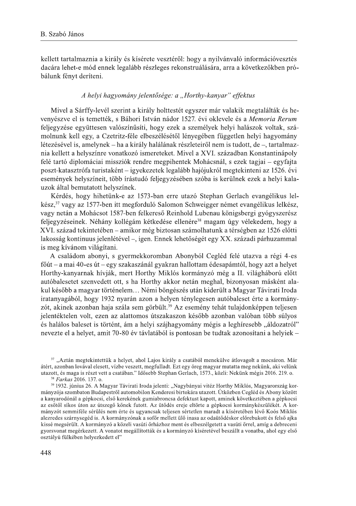kellett tartalmaznia a király és kísérete vesztéről: hogy a nyilványaló információvesztés dacára lehet-e mód ennek legalább részleges rekonstruálására, arra a következőkben próbálunk fényt deríteni.

# A helyi hagyomány jelentősége: a "Horthy-kanyar" effektus

Mivel a Sárffy-levél szerint a király holttestét egyszer már valakik megtalálták és hevenvészve el is temették, s Báhori István nádor 1527, évi oklevele és a Memoria Rerum feljegyzése együttesen valószínűsíti, hogy ezek a személyek helyi halászok voltak, számolnunk kell egy, a Czetritz-féle elbeszélésétől lényegében független helyi hagyomány létezésével is, amelynek – ha a király halálának részleteiről nem is tudott, de –, tartalmaznia kellett a helyszínre vonatkozó ismereteket. Mivel a XVI. században Konstantinápoly felé tartó diplomáciai missziók rendre megpihentek Mohácsnál, s ezek tagjai – egyfajta poszt-katasztrófa turistaként – igyekezetek legalább hajójukról megtekinteni az 1526. évi események helyszíneit, több írástudó feljegyzésében szóba is kerülnek ezek a helyi kalauzok által bemutatott helyszínek.

Kérdés, hogy hihetünk-e az 1573-ban erre utazó Stephan Gerlach evangélikus lelkész,<sup>37</sup> vagy az 1577-ben itt megforduló Salomon Schweigger német evangélikus lelkész, vagy netán a Mohácsot 1587-ben felkereső Reinhold Lubenau königsbergi gyógyszerész feljegyzéseinek. Néhány kollégám kétkedése ellenére<sup>38</sup> magam úgy vélekedem, hogy a XVI. század tekintetében – amikor még biztosan számolhatunk a térségben az 1526 előtti lakosság kontinuus jelenlétével –, igen. Ennek lehetőségét egy XX. századi párhuzammal is meg kívánom világítani.

A családom abonyi, s gyermekkoromban Abonyból Cegléd felé utazva a régi 4-es főút – a mai 40-es út – egy szakaszánál gyakran hallottam édesapámtól, hogy azt a helyet Horthy-kanyarnak hívják, mert Horthy Miklós kormányzó még a II. világháború előtt autóbalesetet szenvedett ott, s ha Horthy akkor netán meghal, bizonyosan másként alakul később a magyar történelem... Némi böngészés után kiderült a Magyar Távirati Iroda iratanyagából, hogy 1932 nyarán azon a helyen ténylegesen autóbaleset érte a kormányzót, akinek azonban haja szála sem görbült.<sup>39</sup> Az esemény tehát tulajdonképpen teljesen jelentéktelen volt, ezen az alattomos útszakaszon később azonban valóban több súlyos és halálos baleset is történt, ám a helyi szájhagyomány mégis a leghíresebb "áldozatról" nevezte el a helyet, amit 70-80 év távlatából is pontosan be tudtak azonosítani a helyiek -

<sup>&</sup>lt;sup>37</sup> "Aztán megtekintettük a helyet, ahol Lajos király a csatából menekülve átlovagolt a mocsáron. Már átért, azonban lovával elesett, vízbe veszett, megfulladt. Ezt egy öreg magyar mutatta meg nekünk, aki velünk utazott, és maga is részt vett a csatában." Idősebb Stephan Gerlach, 1573., közli: Nekünk mégis 2016. 219. o. <sup>38</sup> Farkas 2016. 137. o.

<sup>&</sup>lt;sup>39</sup> 1932. június 26. A Magyar Távirati Iroda jelenti: "Nagybányai vitéz Horthy Miklós, Magyarország kormányzója szombaton Budapestről automobilon Kenderesi birtokára utazott. Útközben Cegléd és Abony között a kanyarodónál a gépkocsi, első kerekének gumiabroncsa defektust kapott, aminek következtében a gépkocsi az esőtől síkos úton az útszegő kőnek futott. Az ütődés ereje eltörte a gépkocsi kormánykészülékét. A kormányzót semmiféle sérülés nem érte és ugyancsak teljesen sértetlen maradt a kíséretében lévő Koós Miklós alezredes szárnysegéd is. A kormányzónak a sofőr mellett ülő inasa az odaütődéskor előrebukott és felső ajka kissé megsérült. A kormányzó a közeli vasúti őrházhoz ment és elbeszélgetett a vasúti őrrel, amíg a debreceni gyorsvonat megérkezett. A vonatot megállították és a kormányzó kíséretével beszállt a vonatba, ahol egy első osztályú fülkében helyezkedett el"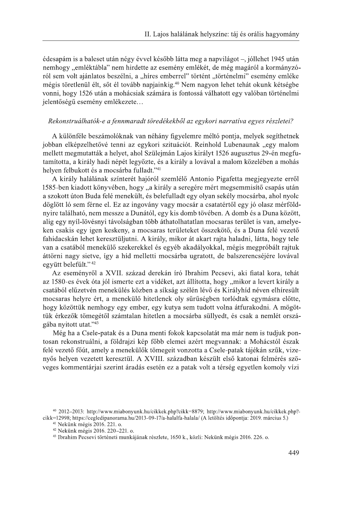édesapám is a baleset után négy évvel később látta meg a napvilágot –, jóllehet 1945 után nemhogy "emléktábla" nem hirdette az esemény emlékét, de még magáról a kormányzóról sem volt ajánlatos beszélni, a "híres emberrel" történt "történelmi" esemény emléke mégis töretlenül élt, sőt él tovább napjainkig.<sup>40</sup> Nem nagyon lehet tehát okunk kétségbe vonni, hogy 1526 után a mohácsiak számára is fontossá válhatott egy valóban történelmi jelentőségű esemény emlékezete...

#### Rekonstruálhatók-e a fennmaradt töredékekből az egykori narratíva egyes részletei?

A különféle beszámolóknak van néhány figyelemre méltó pontja, melyek segíthetnek jobban elképzelhetővé tenni az egykori szituációt. Reinhold Lubenaunak "egy malom mellett megmutatták a helyet, ahol Szülejmán Lajos királyt 1526 augusztus 29-én megfutamította, a király hadi népét legyőzte, és a király a lovával a malom közelében a mohás helyen felbukott és a mocsárba fulladt."41

A király halálának színterét hajóról szemlélő Antonio Pigafetta megjegyezte erről 1585-ben kiadott könyvében, hogy "a király a seregére mért megsemmisítő csapás után a szokott úton Buda felé menekült, és belefulladt egy olyan sekély mocsárba, ahol nyolc döglött ló sem férne el. Ez az ingovány vagy mocsár a csatatértől egy jó olasz mérföldnyire található, nem messze a Dunától, egy kis domb tövében. A domb és a Duna között, alig egy nyíl-lövésnyi távolságban több áthatolhatatlan mocsaras terület is van, amelyeken csakis egy igen keskeny, a mocsaras területeket összekötő, és a Duna felé vezető fahidacskán lehet keresztüljutni. A király, mikor át akart rajta haladni, látta, hogy tele van a csatából menekülő szekerekkel és egyéb akadályokkal, mégis megpróbált rajtuk áttörni nagy sietve, így a híd melletti mocsárba ugratott, de balszerencséjére lovával egvütt belefúlt." <sup>42</sup>

Az eseményről a XVII. század derekán író Ibrahim Pecsevi, aki fiatal kora, tehát az 1580-es évek óta jól ismerte ezt a vidéket, azt állította, hogy "mikor a levert király a csatából elűzetvén menekülés közben a síkság szélén lévő és Királyhíd néven elhíresült mocsaras helyre ért, a menekülő hitetlenek oly sűrűségben torlódtak egymásra előtte, hogy közöttük nemhogy egy ember, egy kutya sem tudott volna átfurakodni. A mögöttük érkezők tömegétől számtalan hitetlen a mocsárba süllyedt, és csak a nemlét országába nyitott utat."43

Még ha a Csele-patak és a Duna menti fokok kapcsolatát ma már nem is tudjuk pontosan rekonstruálni, a földrajzi kép főbb elemei azért megyannak: a Mohácstól észak felé vezető főút, amely a menekülők tömegeit vonzotta a Csele-patak tájékán szűk, vizenyős helyen vezetett keresztül. A XVIII. században készült első katonai felmérés szöveges kommentárjai szerint áradás esetén ez a patak volt a térség egyetlen komoly vízi

<sup>40 2012-2013:</sup> http://www.miabonyunk.hu/cikkek.php?cikk=8879; http://www.miabonyunk.hu/cikkek.php?cikk=12998; https://cegledipanorama.hu/2013-09-17/a-halalfa-halala/ (A letöltés időpontja: 2019. március 5.)

<sup>&</sup>lt;sup>41</sup> Nekünk mégis 2016. 221. o.

<sup>&</sup>lt;sup>42</sup> Nekünk mégis 2016. 220-221. o.

<sup>&</sup>lt;sup>43</sup> Ibrahim Pecsevi történeti munkájának részlete, 1650 k., közli: Nekünk mégis 2016. 226. o.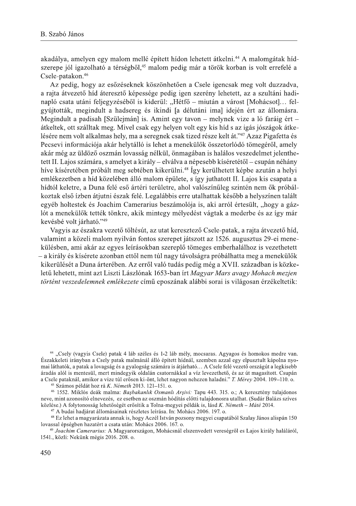akadálya, amelyen egy malom mellé épített hídon lehetett átkelni.<sup>44</sup> A malomgátak hídszerepe jól igazolható a térségből,<sup>45</sup> malom pedig már a török korban is volt errefelé a Csele-patakon.<sup>46</sup>

Az pedig, hogy az esőzéseknek köszönhetően a Csele igencsak meg volt duzzadya. a rajta átvezető híd áteresztő képessége pedig igen szerény lehetett, az a szultáni hadinapló csata utáni feljegyzéséből is kiderül: "Hétfő – miután a várost [Mohácsot]... felgyújtották, megindult a hadsereg és ikindi [a délutáni ima] idején ért az állomásra. Megindult a padisah [Szülejmán] is. Amint egy tavon – melynek vize a ló faráig ért – átkeltek, ott szálltak meg. Mivel csak egy helyen volt egy kis híd s az igás jószágok átkelésére nem volt alkalmas hely, ma a seregnek csak tized része kelt át."47 Azaz Pigafetta és Pecsevi információja akár helytálló is lehet a menekülők összetorlódó tömegéről, amely akár még az üldöző oszmán lovasság nélkül, önmagában is halálos veszedelmet jelenthetett II. Lajos számára, s amelyet a király – elválya a népesebb kíséretétől – csupán néhány híve kíséretében próbált meg sebtében kikerülni.<sup>48</sup> Így kerülhetett képbe azután a helyi emlékezetben a híd közelében álló malom épülete, s így juthatott II. Lajos kis csapata a hídtól keletre, a Duna felé eső ártéri területre, ahol valószínűleg szintén nem ők próbálkoztak első ízben átjutni észak felé. Legalábbis erre utalhattak később a helyszínen talált egyéb holtestek és Joachim Camerarius beszámolója is, aki arról értesült, "hogy a gázlót a menekülők tették tönkre, akik mintegy mélyedést vágtak a mederbe és az így már kevésbé volt járható."49

Vagyis az északra vezető töltésút, az utat keresztező Csele-patak, a rajta átvezető híd. valamint a közeli malom nyilván fontos szerepet játszott az 1526. augusztus 29-ei menekülésben, ami akár az egyes leírásokban szereplő tömeges emberhalálhoz is vezethetett - a király és kísérete azonban ettől nem túl nagy távolságra próbálhatta meg a menekülők kikerülését a Duna árterében. Az erről való tudás pedig még a XVII. században is közkeletű lehetett, mint azt Liszti Lászlónak 1653-ban írt Magyar Mars avagy Mohach mezjen történt veszedelemnek emlékezete című eposzának alábbi sorai is világosan érzékeltetik:

<sup>45</sup> Számos példát hoz rá *K. Németh* 2013. 121-151. o.

<sup>46</sup> 1552. Miklós deák malma: Başbakanlık Osmanlı Arşivi: Tapu 443. 315. o.; A keresztény tulajdonos neve, mint azonosító elnevezés, ez esetben az oszmán hódítás előtti tulajdonosra utalhat. (Sudár Balázs szíves közlése.) A folytonosság lehetőségét erősítik a Tolna-megyei példák is, lásd K. Németh – Máté 2014.

<sup>47</sup> A budai hadjárat állomásainak részletes leírása. In: Mohács 2006. 197. o.

<sup>48</sup> Ez lehet a magyarázata annak is, hogy Aczél István pozsony megyei csapatából Szalay János alispán 150 lovassal épségben hazatért a csata után: Mohács 2006. 167. o.

<sup>&</sup>lt;sup>44</sup> "Csely (vagyis Csele) patak 4 láb széles és 1-2 láb mély, mocsaras. Agyagos és homokos medre van. Északkeleti irányban a Csely patak malmánál álló épített hídnál, szemben azzal egy elpusztult kápolna nyomai láthatók, a patak a lovagság és a gyalogság számára is átjárható... A Csele felé vezető országút a legkisebb áradás alól is mentesül, mert mindegyik oldalán csatornákkal a víz levezethető, és az út magasított. Csupán a Csele pataknál, amikor a vize túl erősen ki-önt, lehet nagyon nehezen haladni." T. Mérey 2004. 109–110. o.

<sup>49</sup> Joachim Camerarius: A Magyarországon, Mohácsnál elszenvedett vereségről es Lajos király haláláról, 1541., közli: Nekünk mégis 2016. 208. o.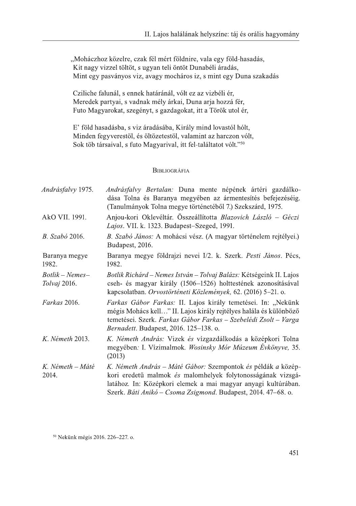"Moháczhoz közelre, czak fél mért földnire, vala egy föld-hasadás, Kit nagy vizzel töltöt, s ugyan teli öntöt Dunabéli áradás, Mint egy pasványos viz, avagy mocháros iz, s mint egy Duna szakadás

Cziliche falunál, s ennek határánál, vólt ez az vizbéli ér, Meredek partyai, s vadnak mély árkai, Duna arja hozzá fér, Futo Magyarokat, szegényt, s gazdagokat, itt a Török utol ér,

E' föld hasadásba, s viz áradásába, Király mind lovastól hólt, Minden fegyverestöl, és öltözetestöl, valamint az harczon vólt, Sok töb társaival, s futo Magyarival, itt fel-találtatot vólt."50

# **BIBLIOGRÁFIA**

| Andrásfalvy 1975.               | Andrásfalvy Bertalan: Duna mente népének ártéri gazdálko-<br>dása Tolna és Baranya megyében az ármentesítés befejezéséig.<br>(Tanulmányok Tolna megye történetéből 7.) Szekszárd, 1975.                                                                       |
|---------------------------------|---------------------------------------------------------------------------------------------------------------------------------------------------------------------------------------------------------------------------------------------------------------|
| AkO VII. 1991.                  | Anjou-kori Oklevéltár. Összeállította Blazovich László – Géczi<br>Lajos. VII. k. 1323. Budapest-Szeged, 1991.                                                                                                                                                 |
| <i>B.</i> Szabó 2016.           | B. Szabó János: A mohácsi vész. (A magyar történelem rejtélyei.)<br>Budapest, 2016.                                                                                                                                                                           |
| Baranya megye<br>1982.          | Baranya megye földrajzi nevei I/2. k. Szerk. Pesti János. Pécs,<br>1982.                                                                                                                                                                                      |
| $Botlik-Nemes-$<br>Tolvaj 2016. | Botlik Richárd – Nemes István – Tolvaj Balázs: Kétségeink II. Lajos<br>cseh- és magyar király (1506–1526) holttestének azonosításával<br>kapcsolatban. Orvostörténeti Közlemények, 62. (2016) 5–21. o.                                                        |
| Farkas 2016.                    | Farkas Gábor Farkas: II. Lajos király temetései. In: "Nekünk<br>mégis Mohács kell" II. Lajos király rejtélyes halála és különböző<br>temetései. Szerk. Farkas Gábor Farkas – Szebelédi Zsolt – Varga<br>Bernadett. Budapest, 2016. 125-138. o.                |
| K. Németh 2013.                 | K. Németh András: Vizek és vízgazdálkodás a középkori Tolna<br>megyében: I. Vízimalmok. Wosinsky Mór Múzeum Évkönyve, 35.<br>(2013)                                                                                                                           |
| K. Németh – Máté<br>2014.       | K. Németh András – Máté Gábor: Szempontok és példák a közép-<br>kori eredetű malmok és malomhelyek folytonosságának vizsgá-<br>latához. In: Középkori elemek a mai magyar anyagi kultúrában.<br>Szerk. Báti Anikó – Csoma Zsigmond. Budapest, 2014. 47–68. o. |

<sup>50</sup> Nekünk mégis 2016. 226-227. o.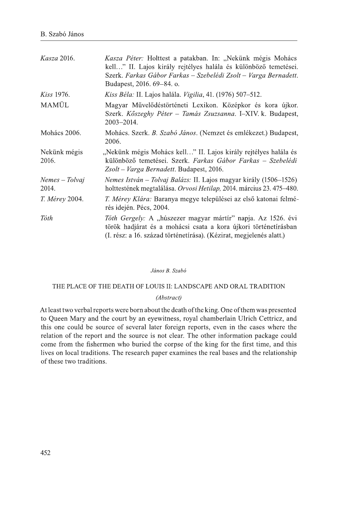| <i>Kasza</i> 2016.      | Kasza Péter: Holttest a patakban. In: "Nekünk mégis Mohács<br>kell" II. Lajos király rejtélyes halála és különböző temetései.<br>Szerk. Farkas Gábor Farkas – Szebelédi Zsolt – Varga Bernadett.<br>Budapest, 2016. 69–84. o. |
|-------------------------|-------------------------------------------------------------------------------------------------------------------------------------------------------------------------------------------------------------------------------|
| <i>Kiss</i> 1976.       | Kiss Béla: II. Lajos halála. Vigilia, 41. (1976) 507-512.                                                                                                                                                                     |
| MAMÜL                   | Magyar Művelődéstörténeti Lexikon. Középkor és kora újkor.<br>Szerk. Kőszeghy Péter – Tamás Zsuzsanna. I–XIV. k. Budapest,<br>2003-2014.                                                                                      |
| Mohács 2006.            | Mohács. Szerk. B. Szabó János. (Nemzet és emlékezet.) Budapest,<br>2006.                                                                                                                                                      |
| Nekünk mégis<br>2016.   | "Nekünk mégis Mohács kell" II. Lajos király rejtélyes halála és<br>különböző temetései. Szerk. Farkas Gábor Farkas – Szebelédi<br><i>Zsolt – Varga Bernadett.</i> Budapest, 2016.                                             |
| Nemes – Tolvaj<br>2014. | Nemes István – Tolvaj Balázs: II. Lajos magyar király (1506–1526)<br>holttestének megtalálása. Orvosi Hetilap, 2014. március 23. 475–480.                                                                                     |
| <i>T. Mérey</i> 2004.   | <i>T. Mérey Klára: Baranya megye települései az első katonai felmé-</i><br>rés idején. Pécs, 2004.                                                                                                                            |
| Tóth                    | Tóth Gergely: A "húszezer magyar mártír" napja. Az 1526. évi<br>török hadjárat és a mohácsi csata a kora újkori történetírásban<br>(I. rész: a 16. század történetírása). (Kézirat, megjelenés alatt.)                        |

#### János B. Szabó

# THE PLACE OF THE DEATH OF LOUIS II: LANDSCAPE AND ORAL TRADITION

#### (Abstract)

At least two verbal reports were born about the death of the king. One of them was presented to Queen Mary and the court by an eyewitness, royal chamberlain Ulrich Cettricz, and this one could be source of several later foreign reports, even in the cases where the relation of the report and the source is not clear. The other information package could come from the fishermen who buried the corpse of the king for the first time, and this lives on local traditions. The research paper examines the real bases and the relationship of these two traditions.